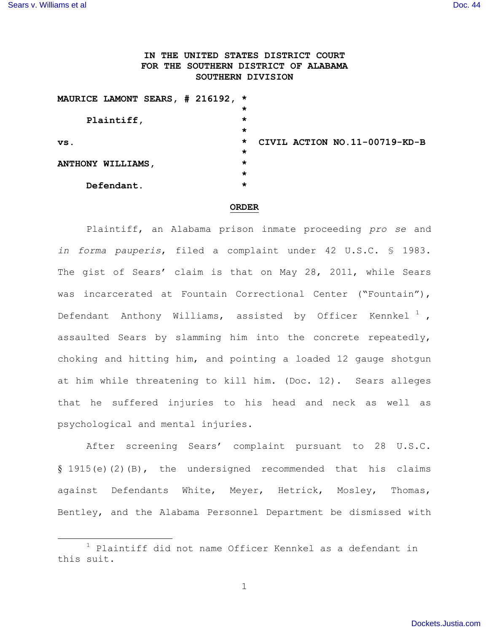## **IN THE UNITED STATES DISTRICT COURT FOR THE SOUTHERN DISTRICT OF ALABAMA SOUTHERN DIVISION**

| MAURICE LAMONT SEARS, # 216192, * |         |                               |
|-----------------------------------|---------|-------------------------------|
|                                   | *       |                               |
| Plaintiff,                        | *       |                               |
|                                   | *       |                               |
| VS.                               | $\star$ | CIVIL ACTION NO.11-00719-KD-B |
|                                   | $\star$ |                               |
| ANTHONY WILLIAMS,                 | $\star$ |                               |
|                                   | *       |                               |
| Defendant.                        | *       |                               |
|                                   |         |                               |

## **ORDER**

Plaintiff, an Alabama prison inmate proceeding *pro se* and *in forma pauperis*, filed a complaint under 42 U.S.C. § 1983. The gist of Sears' claim is that on May 28, 2011, while Sears was incarcerated at Fountain Correctional Center ("Fountain"), Defendant Anthony Williams, assisted by Officer Kennkel<sup>1</sup>, assaulted Sears by slamming him into the concrete repeatedly, choking and hitting him, and pointing a loaded 12 gauge shotgun at him while threatening to kill him. (Doc. 12). Sears alleges that he suffered injuries to his head and neck as well as psychological and mental injuries.

After screening Sears' complaint pursuant to 28 U.S.C. § 1915(e)(2)(B), the undersigned recommended that his claims against Defendants White, Meyer, Hetrick, Mosley, Thomas, Bentley, and the Alabama Personnel Department be dismissed with

 $1$  Plaintiff did not name Officer Kennkel as a defendant in this suit.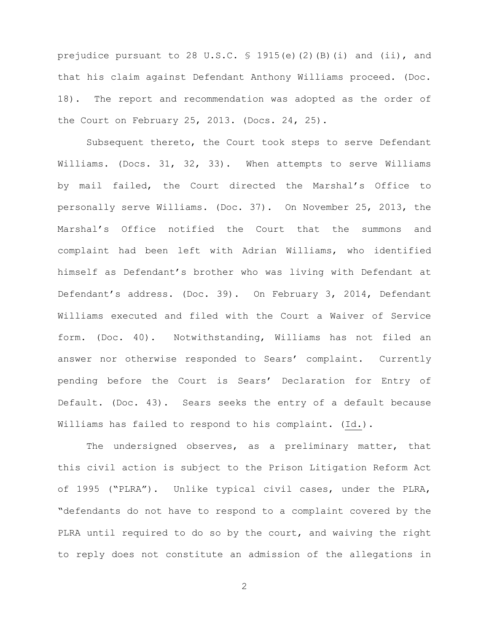prejudice pursuant to 28 U.S.C.  $\frac{1915(e)}{20}$  (2)(B)(i) and (ii), and that his claim against Defendant Anthony Williams proceed. (Doc. 18). The report and recommendation was adopted as the order of the Court on February 25, 2013. (Docs. 24, 25).

Subsequent thereto, the Court took steps to serve Defendant Williams. (Docs. 31, 32, 33). When attempts to serve Williams by mail failed, the Court directed the Marshal's Office to personally serve Williams. (Doc. 37). On November 25, 2013, the Marshal's Office notified the Court that the summons and complaint had been left with Adrian Williams, who identified himself as Defendant's brother who was living with Defendant at Defendant's address. (Doc. 39). On February 3, 2014, Defendant Williams executed and filed with the Court a Waiver of Service form. (Doc. 40). Notwithstanding, Williams has not filed an answer nor otherwise responded to Sears' complaint. Currently pending before the Court is Sears' Declaration for Entry of Default. (Doc. 43). Sears seeks the entry of a default because Williams has failed to respond to his complaint. (Id.).

The undersigned observes, as a preliminary matter, that this civil action is subject to the Prison Litigation Reform Act of 1995 ("PLRA"). Unlike typical civil cases, under the PLRA, "defendants do not have to respond to a complaint covered by the PLRA until required to do so by the court, and waiving the right to reply does not constitute an admission of the allegations in

2